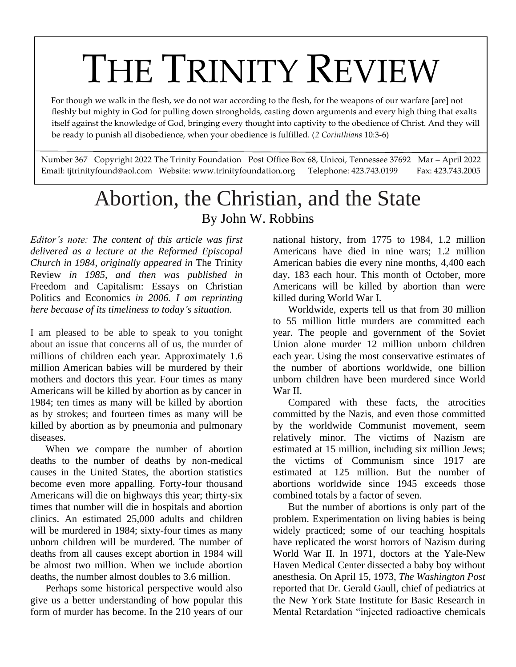# THE TRINITY REVIEW

 For though we walk in the flesh, we do not war according to the flesh, for the weapons of our warfare [are] not fleshly but mighty in God for pulling down strongholds, casting down arguments and every high thing that exalts itself against the knowledge of God, bringing every thought into captivity to the obedience of Christ. And they will be ready to punish all disobedience, when your obedience is fulfilled. (*2 Corinthians* 10:3-6)

Number 367 Copyright 2022 The Trinity Foundation Post Office Box 68, Unicoi, Tennessee 37692 Mar – April 2022 Email: tjtrinityfound@aol.com Website: www.trinityfoundation.org Telephone: 423.743.0199 Fax: 423.743.2005

# Abortion, the Christian, and the State By John W. Robbins

*Editor's note: The content of this article was first delivered as a lecture at the Reformed Episcopal Church in 1984, originally appeared in* The Trinity Review *in 1985, and then was published in*  Freedom and Capitalism: Essays on Christian Politics and Economics *in 2006. I am reprinting here because of its timeliness to today's situation.*

I am pleased to be able to speak to you tonight about an issue that concerns all of us, the murder of millions of children each year. Approximately 1.6 million American babies will be murdered by their mothers and doctors this year. Four times as many Americans will be killed by abortion as by cancer in 1984; ten times as many will be killed by abortion as by strokes; and fourteen times as many will be killed by abortion as by pneumonia and pulmonary diseases.

When we compare the number of abortion deaths to the number of deaths by non-medical causes in the United States, the abortion statistics become even more appalling. Forty-four thousand Americans will die on highways this year; thirty-six times that number will die in hospitals and abortion clinics. An estimated 25,000 adults and children will be murdered in 1984; sixty-four times as many unborn children will be murdered. The number of deaths from all causes except abortion in 1984 will be almost two million. When we include abortion deaths, the number almost doubles to 3.6 million.

Perhaps some historical perspective would also give us a better understanding of how popular this form of murder has become. In the 210 years of our

national history, from 1775 to 1984, 1.2 million Americans have died in nine wars; 1.2 million American babies die every nine months, 4,400 each day, 183 each hour. This month of October, more Americans will be killed by abortion than were killed during World War I.

Worldwide, experts tell us that from 30 million to 55 million little murders are committed each year. The people and government of the Soviet Union alone murder 12 million unborn children each year. Using the most conservative estimates of the number of abortions worldwide, one billion unborn children have been murdered since World War II.

Compared with these facts, the atrocities committed by the Nazis, and even those committed by the worldwide Communist movement, seem relatively minor. The victims of Nazism are estimated at 15 million, including six million Jews; the victims of Communism since 1917 are estimated at 125 million. But the number of abortions worldwide since 1945 exceeds those combined totals by a factor of seven.

But the number of abortions is only part of the problem. Experimentation on living babies is being widely practiced; some of our teaching hospitals have replicated the worst horrors of Nazism during World War II. In 1971, doctors at the Yale-New Haven Medical Center dissected a baby boy without anesthesia. On April 15, 1973, *The Washington Post* reported that Dr. Gerald Gaull, chief of pediatrics at the New York State Institute for Basic Research in Mental Retardation "injected radioactive chemicals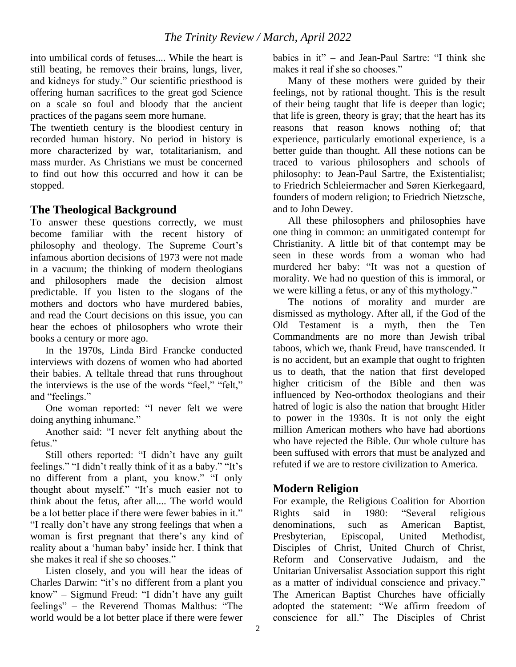into umbilical cords of fetuses.... While the heart is still beating, he removes their brains, lungs, liver, and kidneys for study." Our scientific priesthood is offering human sacrifices to the great god Science on a scale so foul and bloody that the ancient practices of the pagans seem more humane.

The twentieth century is the bloodiest century in recorded human history. No period in history is more characterized by war, totalitarianism, and mass murder. As Christians we must be concerned to find out how this occurred and how it can be stopped.

#### **The Theological Background**

To answer these questions correctly, we must become familiar with the recent history of philosophy and theology. The Supreme Court's infamous abortion decisions of 1973 were not made in a vacuum; the thinking of modern theologians and philosophers made the decision almost predictable. If you listen to the slogans of the mothers and doctors who have murdered babies, and read the Court decisions on this issue, you can hear the echoes of philosophers who wrote their books a century or more ago.

In the 1970s, Linda Bird Francke conducted interviews with dozens of women who had aborted their babies. A telltale thread that runs throughout the interviews is the use of the words "feel," "felt," and "feelings."

One woman reported: "I never felt we were doing anything inhumane."

Another said: "I never felt anything about the fetus."

Still others reported: "I didn't have any guilt feelings." "I didn't really think of it as a baby." "It's no different from a plant, you know." "I only thought about myself." "It's much easier not to think about the fetus, after all.... The world would be a lot better place if there were fewer babies in it." "I really don't have any strong feelings that when a woman is first pregnant that there's any kind of reality about a 'human baby' inside her. I think that she makes it real if she so chooses."

Listen closely, and you will hear the ideas of Charles Darwin: "it's no different from a plant you know" – Sigmund Freud: "I didn't have any guilt feelings" – the Reverend Thomas Malthus: "The world would be a lot better place if there were fewer

babies in it" – and Jean-Paul Sartre: "I think she makes it real if she so chooses."

Many of these mothers were guided by their feelings, not by rational thought. This is the result of their being taught that life is deeper than logic; that life is green, theory is gray; that the heart has its reasons that reason knows nothing of; that experience, particularly emotional experience, is a better guide than thought. All these notions can be traced to various philosophers and schools of philosophy: to Jean-Paul Sartre, the Existentialist; to Friedrich Schleiermacher and Søren Kierkegaard, founders of modern religion; to Friedrich Nietzsche, and to John Dewey.

All these philosophers and philosophies have one thing in common: an unmitigated contempt for Christianity. A little bit of that contempt may be seen in these words from a woman who had murdered her baby: "It was not a question of morality. We had no question of this is immoral, or we were killing a fetus, or any of this mythology."

The notions of morality and murder are dismissed as mythology. After all, if the God of the Old Testament is a myth, then the Ten Commandments are no more than Jewish tribal taboos, which we, thank Freud, have transcended. It is no accident, but an example that ought to frighten us to death, that the nation that first developed higher criticism of the Bible and then was influenced by Neo-orthodox theologians and their hatred of logic is also the nation that brought Hitler to power in the 1930s. It is not only the eight million American mothers who have had abortions who have rejected the Bible. Our whole culture has been suffused with errors that must be analyzed and refuted if we are to restore civilization to America.

# **Modern Religion**

For example, the Religious Coalition for Abortion<br>Rights said in 1980: "Several religious Rights said in 1980: "Several religious denominations, such as American Baptist, Presbyterian, Episcopal, United Methodist, Disciples of Christ, United Church of Christ, Reform and Conservative Judaism, and the Unitarian Universalist Association support this right as a matter of individual conscience and privacy." The American Baptist Churches have officially adopted the statement: "We affirm freedom of conscience for all." The Disciples of Christ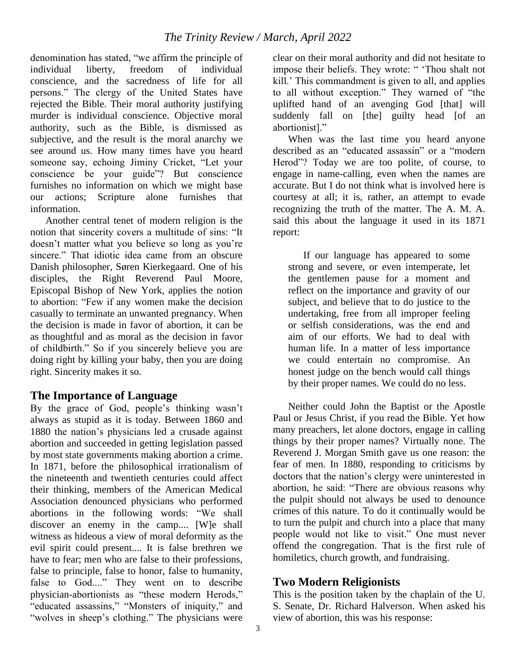denomination has stated, "we affirm the principle of individual liberty, freedom of individual conscience, and the sacredness of life for all persons." The clergy of the United States have rejected the Bible. Their moral authority justifying murder is individual conscience. Objective moral authority, such as the Bible, is dismissed as subjective, and the result is the moral anarchy we see around us. How many times have you heard someone say, echoing Jiminy Cricket, "Let your conscience be your guide"? But conscience furnishes no information on which we might base our actions; Scripture alone furnishes that information.

Another central tenet of modern religion is the notion that sincerity covers a multitude of sins: "It doesn't matter what you believe so long as you're sincere." That idiotic idea came from an obscure Danish philosopher, Søren Kierkegaard. One of his disciples, the Right Reverend Paul Moore, Episcopal Bishop of New York, applies the notion to abortion: "Few if any women make the decision casually to terminate an unwanted pregnancy. When the decision is made in favor of abortion, it can be as thoughtful and as moral as the decision in favor of childbirth." So if you sincerely believe you are doing right by killing your baby, then you are doing right. Sincerity makes it so.

# **The Importance of Language**

By the grace of God, people's thinking wasn't always as stupid as it is today. Between 1860 and 1880 the nation's physicians led a crusade against abortion and succeeded in getting legislation passed by most state governments making abortion a crime. In 1871, before the philosophical irrationalism of the nineteenth and twentieth centuries could affect their thinking, members of the American Medical Association denounced physicians who performed abortions in the following words: "We shall discover an enemy in the camp.... [W]e shall witness as hideous a view of moral deformity as the evil spirit could present.... It is false brethren we have to fear; men who are false to their professions, false to principle, false to honor, false to humanity, false to God...." They went on to describe physician-abortionists as "these modern Herods," "educated assassins," "Monsters of iniquity," and "wolves in sheep's clothing." The physicians were

clear on their moral authority and did not hesitate to impose their beliefs. They wrote: " 'Thou shalt not kill.' This commandment is given to all, and applies to all without exception." They warned of "the uplifted hand of an avenging God [that] will suddenly fall on [the] guilty head [of an abortionist]."

When was the last time you heard anyone described as an "educated assassin" or a "modern Herod"? Today we are too polite, of course, to engage in name-calling, even when the names are accurate. But I do not think what is involved here is courtesy at all; it is, rather, an attempt to evade recognizing the truth of the matter. The A. M. A. said this about the language it used in its 1871 report:

If our language has appeared to some strong and severe, or even intemperate, let the gentlemen pause for a moment and reflect on the importance and gravity of our subject, and believe that to do justice to the undertaking, free from all improper feeling or selfish considerations, was the end and aim of our efforts. We had to deal with human life. In a matter of less importance we could entertain no compromise. An honest judge on the bench would call things by their proper names. We could do no less.

Neither could John the Baptist or the Apostle Paul or Jesus Christ, if you read the Bible. Yet how many preachers, let alone doctors, engage in calling things by their proper names? Virtually none. The Reverend J. Morgan Smith gave us one reason: the fear of men. In 1880, responding to criticisms by doctors that the nation's clergy were uninterested in abortion, he said: "There are obvious reasons why the pulpit should not always be used to denounce crimes of this nature. To do it continually would be to turn the pulpit and church into a place that many people would not like to visit." One must never offend the congregation. That is the first rule of homiletics, church growth, and fundraising.

#### **Two Modern Religionists**

This is the position taken by the chaplain of the U. S. Senate, Dr. Richard Halverson. When asked his view of abortion, this was his response: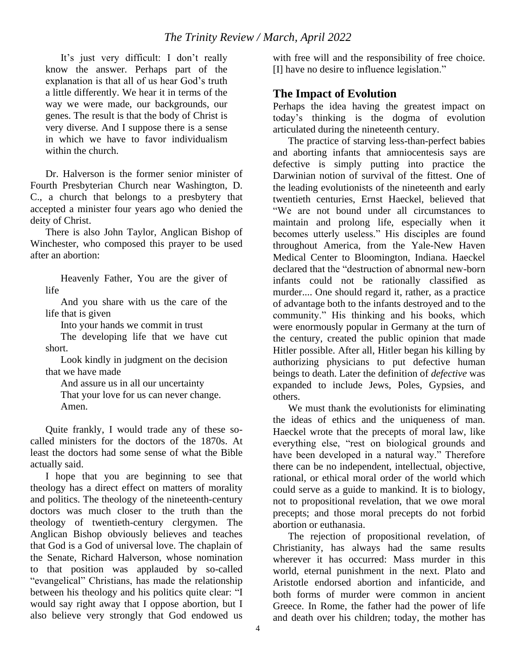It's just very difficult: I don't really know the answer. Perhaps part of the explanation is that all of us hear God's truth a little differently. We hear it in terms of the way we were made, our backgrounds, our genes. The result is that the body of Christ is very diverse. And I suppose there is a sense in which we have to favor individualism within the church.

Dr. Halverson is the former senior minister of Fourth Presbyterian Church near Washington, D. C., a church that belongs to a presbytery that accepted a minister four years ago who denied the deity of Christ.

There is also John Taylor, Anglican Bishop of Winchester, who composed this prayer to be used after an abortion:

Heavenly Father, You are the giver of life

And you share with us the care of the life that is given

Into your hands we commit in trust

The developing life that we have cut short.

Look kindly in judgment on the decision that we have made

And assure us in all our uncertainty

That your love for us can never change. Amen.

Quite frankly, I would trade any of these socalled ministers for the doctors of the 1870s. At least the doctors had some sense of what the Bible actually said.

I hope that you are beginning to see that theology has a direct effect on matters of morality and politics. The theology of the nineteenth-century doctors was much closer to the truth than the theology of twentieth-century clergymen. The Anglican Bishop obviously believes and teaches that God is a God of universal love. The chaplain of the Senate, Richard Halverson, whose nomination to that position was applauded by so-called "evangelical" Christians, has made the relationship between his theology and his politics quite clear: "I would say right away that I oppose abortion, but I also believe very strongly that God endowed us

with free will and the responsibility of free choice. [I] have no desire to influence legislation."

# **The Impact of Evolution**

Perhaps the idea having the greatest impact on today's thinking is the dogma of evolution articulated during the nineteenth century.

The practice of starving less-than-perfect babies and aborting infants that amniocentesis says are defective is simply putting into practice the Darwinian notion of survival of the fittest. One of the leading evolutionists of the nineteenth and early twentieth centuries, Ernst Haeckel, believed that "We are not bound under all circumstances to maintain and prolong life, especially when it becomes utterly useless." His disciples are found throughout America, from the Yale-New Haven Medical Center to Bloomington, Indiana. Haeckel declared that the "destruction of abnormal new-born infants could not be rationally classified as murder.... One should regard it, rather, as a practice of advantage both to the infants destroyed and to the community." His thinking and his books, which were enormously popular in Germany at the turn of the century, created the public opinion that made Hitler possible. After all, Hitler began his killing by authorizing physicians to put defective human beings to death. Later the definition of *defective* was expanded to include Jews, Poles, Gypsies, and others.

We must thank the evolutionists for eliminating the ideas of ethics and the uniqueness of man. Haeckel wrote that the precepts of moral law, like everything else, "rest on biological grounds and have been developed in a natural way." Therefore there can be no independent, intellectual, objective, rational, or ethical moral order of the world which could serve as a guide to mankind. It is to biology, not to propositional revelation, that we owe moral precepts; and those moral precepts do not forbid abortion or euthanasia.

The rejection of propositional revelation, of Christianity, has always had the same results wherever it has occurred: Mass murder in this world, eternal punishment in the next. Plato and Aristotle endorsed abortion and infanticide, and both forms of murder were common in ancient Greece. In Rome, the father had the power of life and death over his children; today, the mother has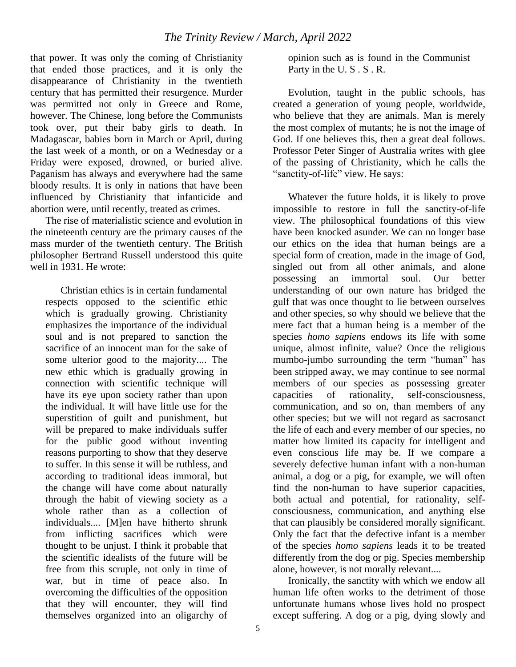that power. It was only the coming of Christianity that ended those practices, and it is only the disappearance of Christianity in the twentieth century that has permitted their resurgence. Murder was permitted not only in Greece and Rome, however. The Chinese, long before the Communists took over, put their baby girls to death. In Madagascar, babies born in March or April, during the last week of a month, or on a Wednesday or a Friday were exposed, drowned, or buried alive. Paganism has always and everywhere had the same bloody results. It is only in nations that have been influenced by Christianity that infanticide and abortion were, until recently, treated as crimes.

The rise of materialistic science and evolution in the nineteenth century are the primary causes of the mass murder of the twentieth century. The British philosopher Bertrand Russell understood this quite well in 1931. He wrote:

Christian ethics is in certain fundamental respects opposed to the scientific ethic which is gradually growing. Christianity emphasizes the importance of the individual soul and is not prepared to sanction the sacrifice of an innocent man for the sake of some ulterior good to the majority.... The new ethic which is gradually growing in connection with scientific technique will have its eye upon society rather than upon the individual. It will have little use for the superstition of guilt and punishment, but will be prepared to make individuals suffer for the public good without inventing reasons purporting to show that they deserve to suffer. In this sense it will be ruthless, and according to traditional ideas immoral, but the change will have come about naturally through the habit of viewing society as a whole rather than as a collection of individuals.... [M]en have hitherto shrunk from inflicting sacrifices which were thought to be unjust. I think it probable that the scientific idealists of the future will be free from this scruple, not only in time of war, but in time of peace also. In overcoming the difficulties of the opposition that they will encounter, they will find themselves organized into an oligarchy of

opinion such as is found in the Communist Party in the U. S . S . R.

Evolution, taught in the public schools, has created a generation of young people, worldwide, who believe that they are animals. Man is merely the most complex of mutants; he is not the image of God. If one believes this, then a great deal follows. Professor Peter Singer of Australia writes with glee of the passing of Christianity, which he calls the "sanctity-of-life" view. He says:

Whatever the future holds, it is likely to prove impossible to restore in full the sanctity-of-life view. The philosophical foundations of this view have been knocked asunder. We can no longer base our ethics on the idea that human beings are a special form of creation, made in the image of God, singled out from all other animals, and alone possessing an immortal soul. Our better understanding of our own nature has bridged the gulf that was once thought to lie between ourselves and other species, so why should we believe that the mere fact that a human being is a member of the species *homo sapiens* endows its life with some unique, almost infinite, value? Once the religious mumbo-jumbo surrounding the term "human" has been stripped away, we may continue to see normal members of our species as possessing greater capacities of rationality, self-consciousness, communication, and so on, than members of any other species; but we will not regard as sacrosanct the life of each and every member of our species, no matter how limited its capacity for intelligent and even conscious life may be. If we compare a severely defective human infant with a non-human animal, a dog or a pig, for example, we will often find the non-human to have superior capacities, both actual and potential, for rationality, selfconsciousness, communication, and anything else that can plausibly be considered morally significant. Only the fact that the defective infant is a member of the species *homo sapiens* leads it to be treated differently from the dog or pig. Species membership alone, however, is not morally relevant....

Ironically, the sanctity with which we endow all human life often works to the detriment of those unfortunate humans whose lives hold no prospect except suffering. A dog or a pig, dying slowly and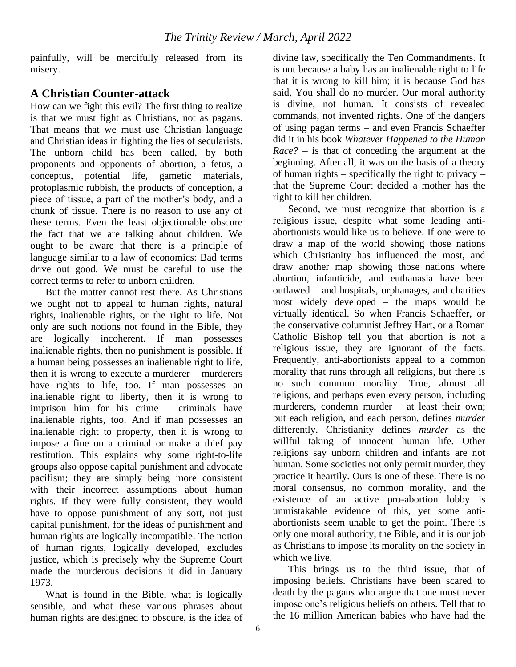painfully, will be mercifully released from its misery.

# **A Christian Counter-attack**

How can we fight this evil? The first thing to realize is that we must fight as Christians, not as pagans. That means that we must use Christian language and Christian ideas in fighting the lies of secularists. The unborn child has been called, by both proponents and opponents of abortion, a fetus, a conceptus, potential life, gametic materials, protoplasmic rubbish, the products of conception, a piece of tissue, a part of the mother's body, and a chunk of tissue. There is no reason to use any of these terms. Even the least objectionable obscure the fact that we are talking about children. We ought to be aware that there is a principle of language similar to a law of economics: Bad terms drive out good. We must be careful to use the correct terms to refer to unborn children.

But the matter cannot rest there. As Christians we ought not to appeal to human rights, natural rights, inalienable rights, or the right to life. Not only are such notions not found in the Bible, they are logically incoherent. If man possesses inalienable rights, then no punishment is possible. If a human being possesses an inalienable right to life, then it is wrong to execute a murderer – murderers have rights to life, too. If man possesses an inalienable right to liberty, then it is wrong to imprison him for his crime – criminals have inalienable rights, too. And if man possesses an inalienable right to property, then it is wrong to impose a fine on a criminal or make a thief pay restitution. This explains why some right-to-life groups also oppose capital punishment and advocate pacifism; they are simply being more consistent with their incorrect assumptions about human rights. If they were fully consistent, they would have to oppose punishment of any sort, not just capital punishment, for the ideas of punishment and human rights are logically incompatible. The notion of human rights, logically developed, excludes justice, which is precisely why the Supreme Court made the murderous decisions it did in January 1973.

What is found in the Bible, what is logically sensible, and what these various phrases about human rights are designed to obscure, is the idea of

divine law, specifically the Ten Commandments. It is not because a baby has an inalienable right to life that it is wrong to kill him; it is because God has said, You shall do no murder. Our moral authority is divine, not human. It consists of revealed commands, not invented rights. One of the dangers of using pagan terms – and even Francis Schaeffer did it in his book *Whatever Happened to the Human Race?* – is that of conceding the argument at the beginning. After all, it was on the basis of a theory of human rights – specifically the right to privacy – that the Supreme Court decided a mother has the right to kill her children.

Second, we must recognize that abortion is a religious issue, despite what some leading antiabortionists would like us to believe. If one were to draw a map of the world showing those nations which Christianity has influenced the most, and draw another map showing those nations where abortion, infanticide, and euthanasia have been outlawed – and hospitals, orphanages, and charities most widely developed – the maps would be virtually identical. So when Francis Schaeffer, or the conservative columnist Jeffrey Hart, or a Roman Catholic Bishop tell you that abortion is not a religious issue, they are ignorant of the facts. Frequently, anti-abortionists appeal to a common morality that runs through all religions, but there is no such common morality. True, almost all religions, and perhaps even every person, including murderers, condemn murder – at least their own; but each religion, and each person, defines *murder*  differently. Christianity defines *murder* as the willful taking of innocent human life. Other religions say unborn children and infants are not human. Some societies not only permit murder, they practice it heartily. Ours is one of these. There is no moral consensus, no common morality, and the existence of an active pro-abortion lobby is unmistakable evidence of this, yet some antiabortionists seem unable to get the point. There is only one moral authority, the Bible, and it is our job as Christians to impose its morality on the society in which we live.

This brings us to the third issue, that of imposing beliefs. Christians have been scared to death by the pagans who argue that one must never impose one's religious beliefs on others. Tell that to the 16 million American babies who have had the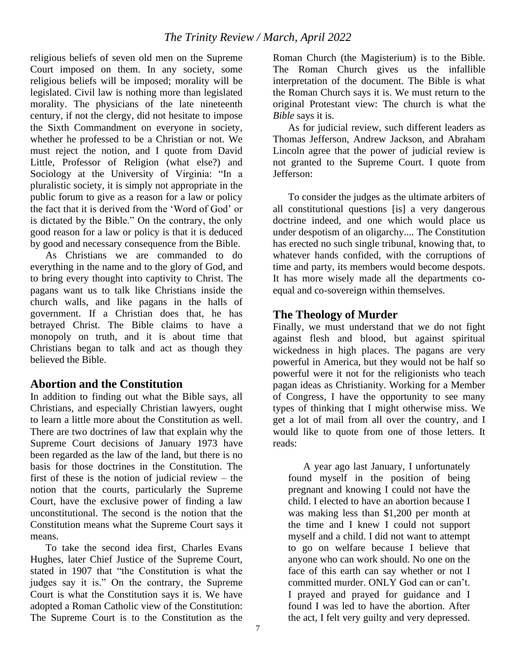religious beliefs of seven old men on the Supreme Court imposed on them. In any society, some religious beliefs will be imposed; morality will be legislated. Civil law is nothing more than legislated morality. The physicians of the late nineteenth century, if not the clergy, did not hesitate to impose the Sixth Commandment on everyone in society, whether he professed to be a Christian or not. We must reject the notion, and I quote from David Little, Professor of Religion (what else?) and Sociology at the University of Virginia: "In a pluralistic society, it is simply not appropriate in the public forum to give as a reason for a law or policy the fact that it is derived from the 'Word of God' or is dictated by the Bible." On the contrary, the only good reason for a law or policy is that it is deduced by good and necessary consequence from the Bible.

As Christians we are commanded to do everything in the name and to the glory of God, and to bring every thought into captivity to Christ. The pagans want us to talk like Christians inside the church walls, and like pagans in the halls of government. If a Christian does that, he has betrayed Christ. The Bible claims to have a monopoly on truth, and it is about time that Christians began to talk and act as though they believed the Bible.

# **Abortion and the Constitution**

In addition to finding out what the Bible says, all Christians, and especially Christian lawyers, ought to learn a little more about the Constitution as well. There are two doctrines of law that explain why the Supreme Court decisions of January 1973 have been regarded as the law of the land, but there is no basis for those doctrines in the Constitution. The first of these is the notion of judicial review – the notion that the courts, particularly the Supreme Court, have the exclusive power of finding a law unconstitutional. The second is the notion that the Constitution means what the Supreme Court says it means.

To take the second idea first, Charles Evans Hughes, later Chief Justice of the Supreme Court, stated in 1907 that "the Constitution is what the judges say it is." On the contrary, the Supreme Court is what the Constitution says it is. We have adopted a Roman Catholic view of the Constitution: The Supreme Court is to the Constitution as the

Roman Church (the Magisterium) is to the Bible. The Roman Church gives us the infallible interpretation of the document. The Bible is what the Roman Church says it is. We must return to the original Protestant view: The church is what the *Bible* says it is.

As for judicial review, such different leaders as Thomas Jefferson, Andrew Jackson, and Abraham Lincoln agree that the power of judicial review is not granted to the Supreme Court. I quote from Jefferson:

To consider the judges as the ultimate arbiters of all constitutional questions [is] a very dangerous doctrine indeed, and one which would place us under despotism of an oligarchy.... The Constitution has erected no such single tribunal, knowing that, to whatever hands confided, with the corruptions of time and party, its members would become despots. It has more wisely made all the departments coequal and co-sovereign within themselves.

# **The Theology of Murder**

Finally, we must understand that we do not fight against flesh and blood, but against spiritual wickedness in high places. The pagans are very powerful in America, but they would not be half so powerful were it not for the religionists who teach pagan ideas as Christianity. Working for a Member of Congress, I have the opportunity to see many types of thinking that I might otherwise miss. We get a lot of mail from all over the country, and I would like to quote from one of those letters. It reads:

A year ago last January, I unfortunately found myself in the position of being pregnant and knowing I could not have the child. I elected to have an abortion because I was making less than \$1,200 per month at the time and I knew I could not support myself and a child. I did not want to attempt to go on welfare because I believe that anyone who can work should. No one on the face of this earth can say whether or not I committed murder. ONLY God can or can't. I prayed and prayed for guidance and I found I was led to have the abortion. After the act, I felt very guilty and very depressed.